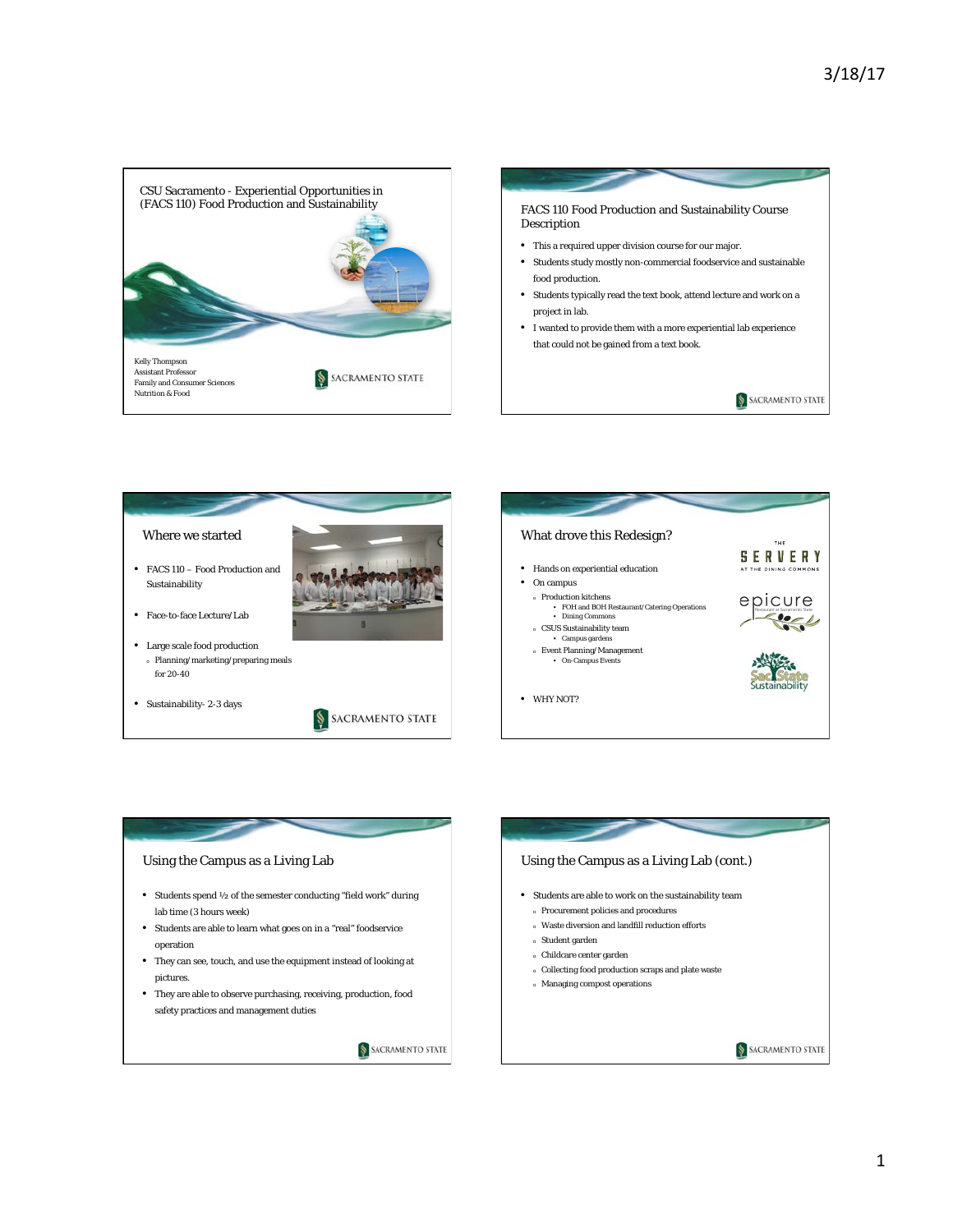







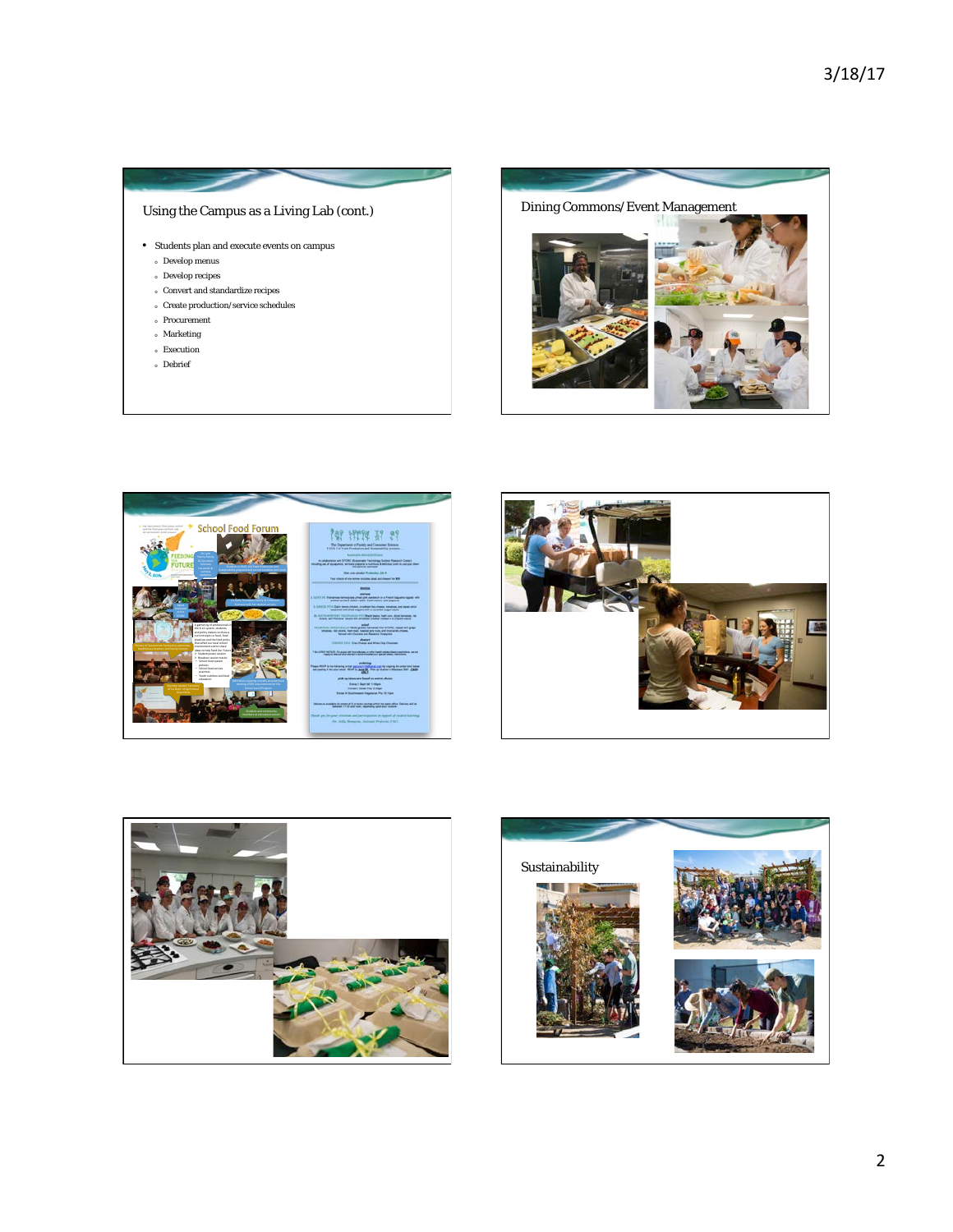## Using the Campus as a Living Lab (cont.)

- Students plan and execute events on campus
	- <sup>o</sup> Develop menus
	- <sup>o</sup> Develop recipes
	- <sup>o</sup> Convert and standardize recipes
	- <sup>o</sup> Create production/service schedules
	- <sup>o</sup> Procurement
	- <sup>o</sup> Marketing
	- <sup>o</sup> Execution
	- <sup>o</sup> Debrief









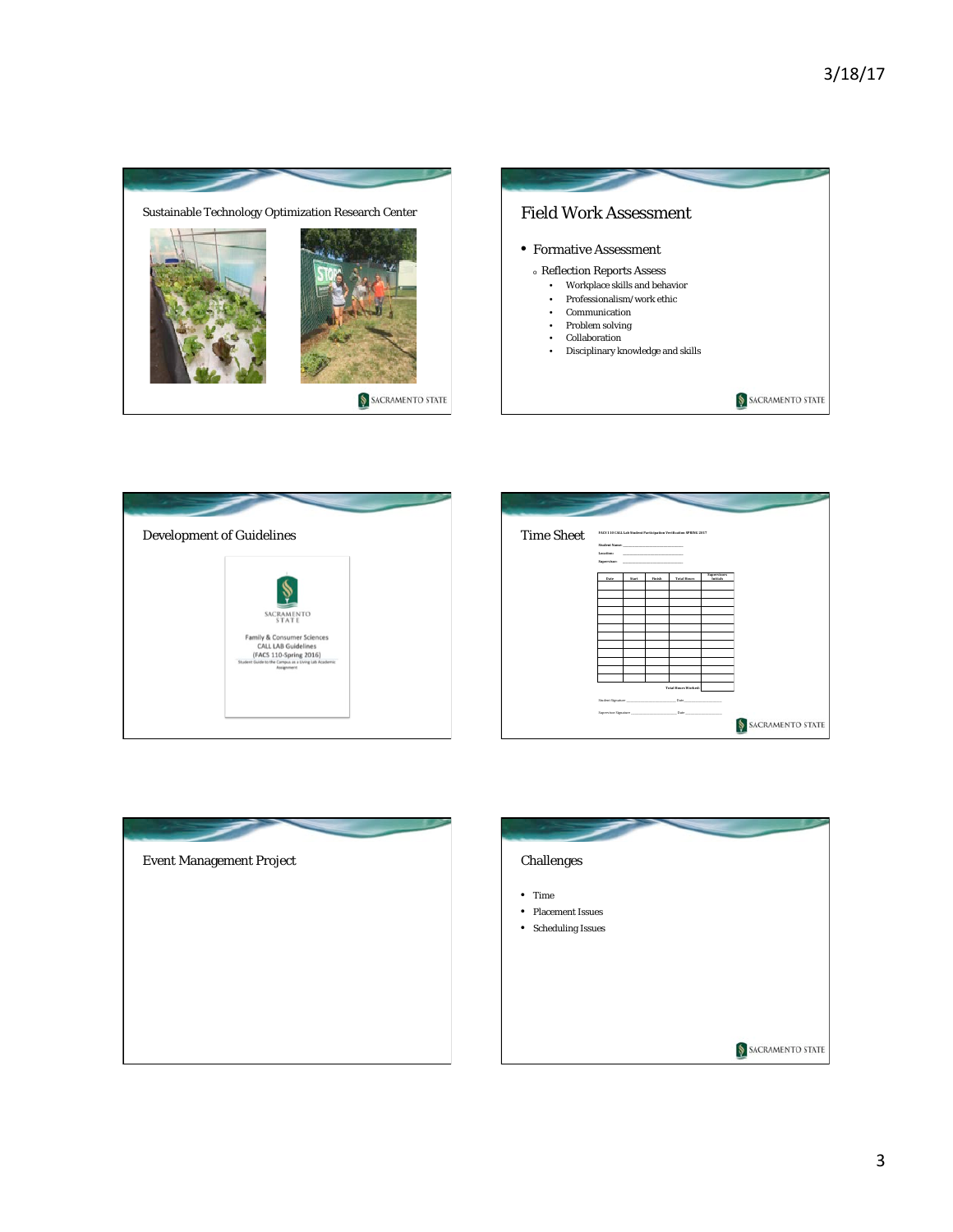









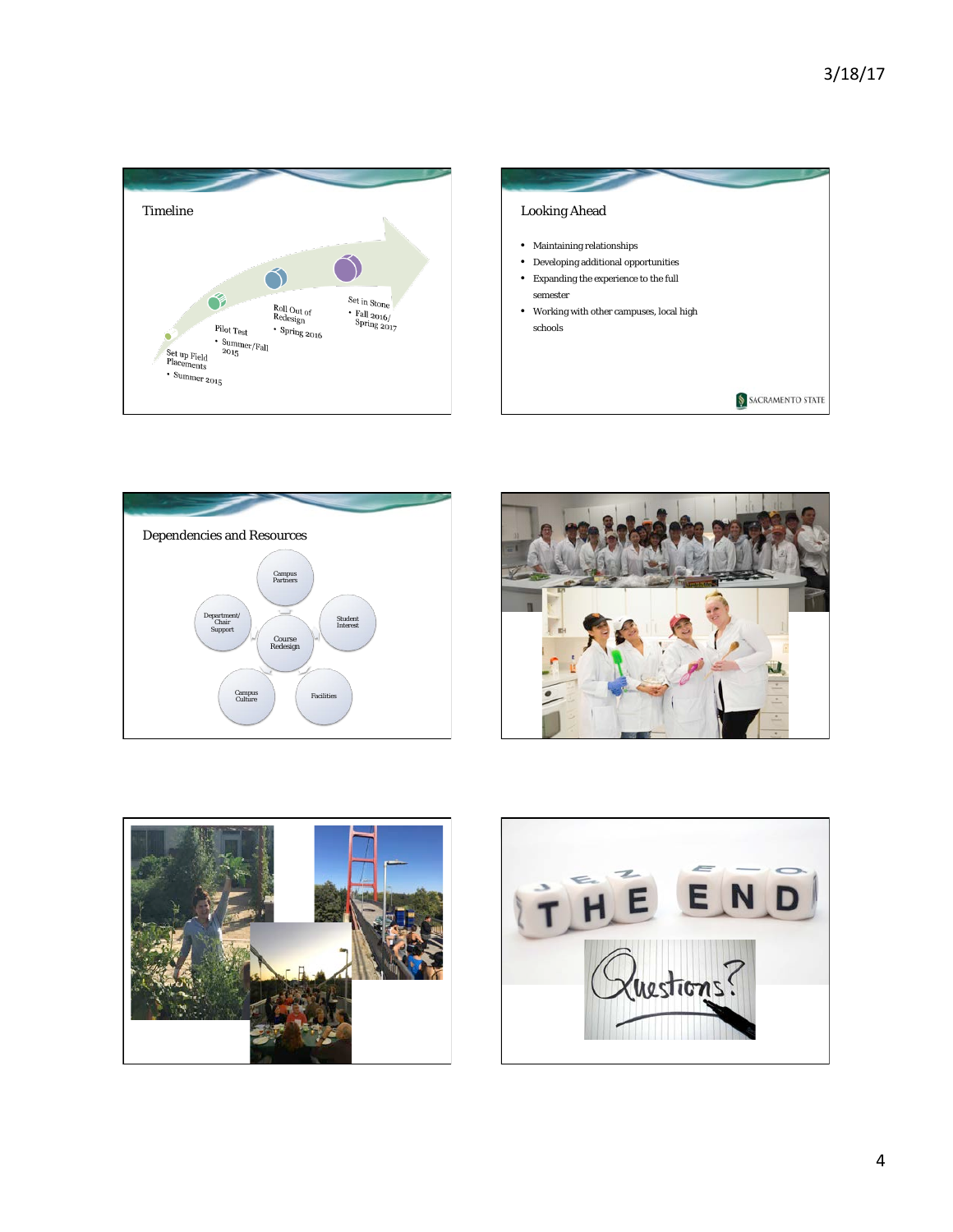